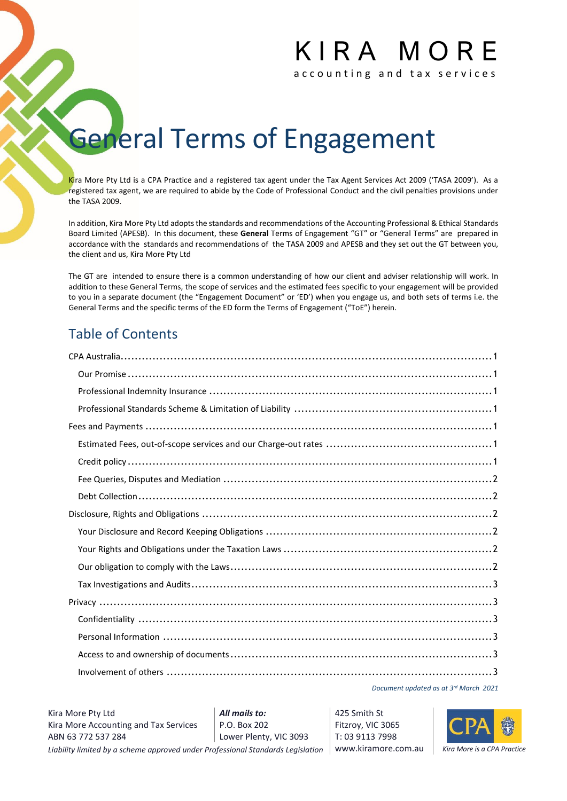# K I R A M O R E

accounting and tax services

## **General Terms of Engagement**

Kira More Pty Ltd is a CPA Practice and a registered tax agent under the Tax Agent Services Act 2009 ('TASA 2009'). As a registered tax agent, we are required to abide by the Code of Professional Conduct and the civil penalties provisions under the TASA 2009.

In addition, Kira More Pty Ltd adopts the standards and recommendations of the Accounting Professional & Ethical Standards Board Limited (APESB). In this document, these **General** Terms of Engagement "GT" or "General Terms" are prepared in accordance with the standards and recommendations of the TASA 2009 and APESB and they set out the GT between you, the client and us, Kira More Pty Ltd

The GT are intended to ensure there is a common understanding of how our client and adviser relationship will work. In addition to these General Terms, the scope of services and the estimated fees specific to your engagement will be provided to you in a separate document (the "Engagement Document" or 'ED') when you engage us, and both sets of terms i.e. the General Terms and the specific terms of the ED form the Terms of Engagement ("ToE") herein.

### Table of Contents

*Document updated as at 3 rd March 2021*

Lower Plenty, VIC 3093 425 Smith St Fitzroy, VIC 3065 T: 03 9113 7998

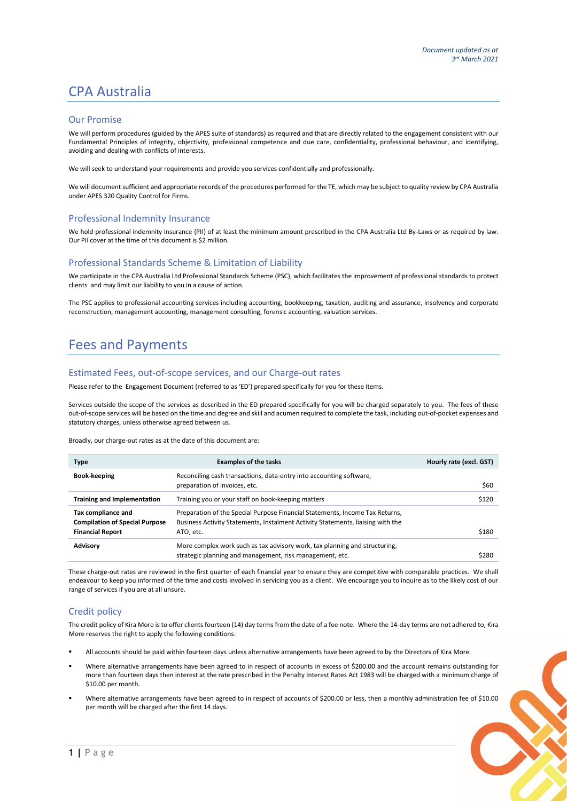### CPA Australia

#### Our Promise

We will perform procedures (guided by the APES suite of standards) as required and that are directly related to the engagement consistent with our Fundamental Principles of integrity, objectivity, professional competence and due care, confidentiality, professional behaviour, and identifying, avoiding and dealing with conflicts of interests.

We will seek to understand your requirements and provide you services confidentially and professionally.

We will document sufficient and appropriate records of the procedures performed for the TE, which may be subject to quality review by CPA Australia under APES 320 Quality Control for Firms.

### Professional Indemnity Insurance

We hold professional indemnity insurance (PII) of at least the minimum amount prescribed in the CPA Australia Ltd By-Laws or as required by law. Our PII cover at the time of this document is \$2 million.

### Professional Standards Scheme & Limitation of Liability

We participate in the CPA Australia Ltd Professional Standards Scheme (PSC), which facilitates the improvement of professional standards to protect clients and may limit our liability to you in a cause of action.

The PSC applies to professional accounting services including accounting, bookkeeping, taxation, auditing and assurance, insolvency and corporate reconstruction, management accounting, management consulting, forensic accounting, valuation services.

### Fees and Payments

#### Estimated Fees, out-of-scope services, and our Charge-out rates

Please refer to the Engagement Document (referred to as 'ED') prepared specifically for you for these items.

Services outside the scope of the services as described in the ED prepared specifically for you will be charged separately to you. The fees of these out-of-scope services will be based on the time and degree and skill and acumen required to complete the task, including out-of-pocket expenses and statutory charges, unless otherwise agreed between us.

Broadly, our charge-out rates as at the date of this document are:

| <b>Type</b>                                                                            | <b>Examples of the tasks</b>                                                                                                                                                 | Hourly rate (excl. GST) |
|----------------------------------------------------------------------------------------|------------------------------------------------------------------------------------------------------------------------------------------------------------------------------|-------------------------|
| Book-keeping                                                                           | Reconciling cash transactions, data-entry into accounting software,<br>preparation of invoices, etc.                                                                         | \$60                    |
| <b>Training and Implementation</b>                                                     | Training you or your staff on book-keeping matters                                                                                                                           | \$120                   |
| Tax compliance and<br><b>Compilation of Special Purpose</b><br><b>Financial Report</b> | Preparation of the Special Purpose Financial Statements, Income Tax Returns,<br>Business Activity Statements, Instalment Activity Statements, liaising with the<br>ATO, etc. | \$180                   |
| <b>Advisory</b>                                                                        | More complex work such as tax advisory work, tax planning and structuring,<br>strategic planning and management, risk management, etc.                                       | \$280                   |

These charge-out rates are reviewed in the first quarter of each financial year to ensure they are competitive with comparable practices. We shall endeavour to keep you informed of the time and costs involved in servicing you as a client. We encourage you to inquire as to the likely cost of our range of services if you are at all unsure.

### Credit policy

The credit policy of Kira More is to offer clients fourteen (14) day terms from the date of a fee note. Where the 14-day terms are not adhered to, Kira More reserves the right to apply the following conditions:

- All accounts should be paid within fourteen days unless alternative arrangements have been agreed to by the Directors of Kira More.
- Where alternative arrangements have been agreed to in respect of accounts in excess of \$200.00 and the account remains outstanding for more than fourteen days then interest at the rate prescribed in the Penalty Interest Rates Act 1983 will be charged with a minimum charge of \$10.00 per month.
- Where alternative arrangements have been agreed to in respect of accounts of \$200.00 or less, then a monthly administration fee of \$10.00 per month will be charged after the first 14 days.

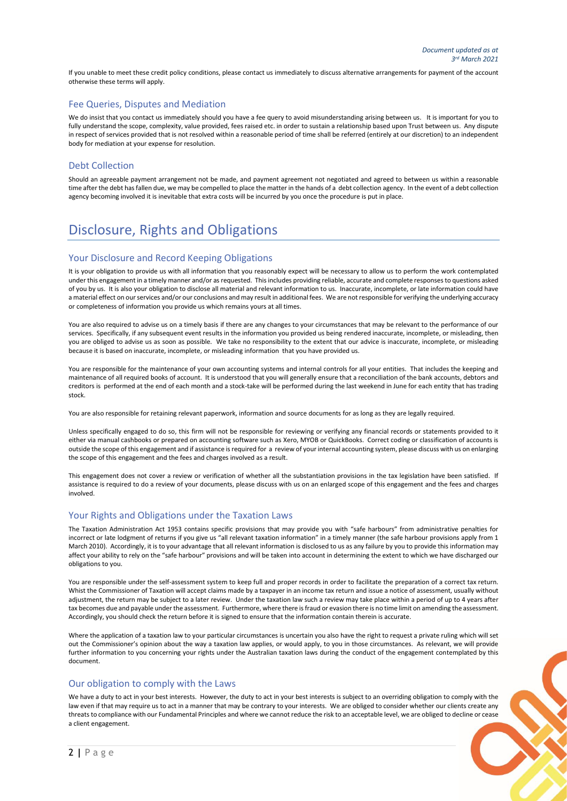If you unable to meet these credit policy conditions, please contact us immediately to discuss alternative arrangements for payment of the account otherwise these terms will apply.

### Fee Queries, Disputes and Mediation

We do insist that you contact us immediately should you have a fee query to avoid misunderstanding arising between us. It is important for you to fully understand the scope, complexity, value provided, fees raised etc. in order to sustain a relationship based upon Trust between us. Any dispute in respect of services provided that is not resolved within a reasonable period of time shall be referred (entirely at our discretion) to an independent body for mediation at your expense for resolution.

#### Debt Collection

Should an agreeable payment arrangement not be made, and payment agreement not negotiated and agreed to between us within a reasonable time after the debt has fallen due, we may be compelled to place the matter in the hands of a debt collection agency. In the event of a debt collection agency becoming involved it is inevitable that extra costs will be incurred by you once the procedure is put in place.

### Disclosure, Rights and Obligations

### Your Disclosure and Record Keeping Obligations

It is your obligation to provide us with all information that you reasonably expect will be necessary to allow us to perform the work contemplated under this engagement in a timely manner and/or as requested. This includes providing reliable, accurate and complete responses to questions asked of you by us. It is also your obligation to disclose all material and relevant information to us. Inaccurate, incomplete, or late information could have a material effect on our services and/or our conclusions and may result in additional fees. We are not responsible for verifying the underlying accuracy or completeness of information you provide us which remains yours at all times.

You are also required to advise us on a timely basis if there are any changes to your circumstances that may be relevant to the performance of our services. Specifically, if any subsequent event results in the information you provided us being rendered inaccurate, incomplete, or misleading, then you are obliged to advise us as soon as possible. We take no responsibility to the extent that our advice is inaccurate, incomplete, or misleading because it is based on inaccurate, incomplete, or misleading information that you have provided us.

You are responsible for the maintenance of your own accounting systems and internal controls for all your entities. That includes the keeping and maintenance of all required books of account. It is understood that you will generally ensure that a reconciliation of the bank accounts, debtors and creditors is performed at the end of each month and a stock-take will be performed during the last weekend in June for each entity that has trading stock.

You are also responsible for retaining relevant paperwork, information and source documents for as long as they are legally required.

Unless specifically engaged to do so, this firm will not be responsible for reviewing or verifying any financial records or statements provided to it either via manual cashbooks or prepared on accounting software such as Xero, MYOB or QuickBooks. Correct coding or classification of accounts is outside the scope of this engagement and if assistance is required for a review of your internal accounting system, please discuss with us on enlarging the scope of this engagement and the fees and charges involved as a result.

This engagement does not cover a review or verification of whether all the substantiation provisions in the tax legislation have been satisfied. If assistance is required to do a review of your documents, please discuss with us on an enlarged scope of this engagement and the fees and charges involved.

#### Your Rights and Obligations under the Taxation Laws

The Taxation Administration Act 1953 contains specific provisions that may provide you with "safe harbours" from administrative penalties for incorrect or late lodgment of returns if you give us "all relevant taxation information" in a timely manner (the safe harbour provisions apply from 1 March 2010). Accordingly, it is to your advantage that all relevant information is disclosed to us as any failure by you to provide this information may affect your ability to rely on the "safe harbour" provisions and will be taken into account in determining the extent to which we have discharged our obligations to you.

You are responsible under the self-assessment system to keep full and proper records in order to facilitate the preparation of a correct tax return. Whist the Commissioner of Taxation will accept claims made by a taxpayer in an income tax return and issue a notice of assessment, usually without adjustment, the return may be subject to a later review. Under the taxation law such a review may take place within a period of up to 4 years after tax becomes due and payable under the assessment. Furthermore, where there is fraud or evasion there is no time limit on amending the assessment. Accordingly, you should check the return before it is signed to ensure that the information contain therein is accurate.

Where the application of a taxation law to your particular circumstances is uncertain you also have the right to request a private ruling which will set out the Commissioner's opinion about the way a taxation law applies, or would apply, to you in those circumstances. As relevant, we will provide further information to you concerning your rights under the Australian taxation laws during the conduct of the engagement contemplated by this document.

### Our obligation to comply with the Laws

We have a duty to act in your best interests. However, the duty to act in your best interests is subject to an overriding obligation to comply with the law even if that may require us to act in a manner that may be contrary to your interests. We are obliged to consider whether our clients create any threats to compliance with our Fundamental Principles and where we cannot reduce the risk to an acceptable level, we are obliged to decline or cease a client engagement.